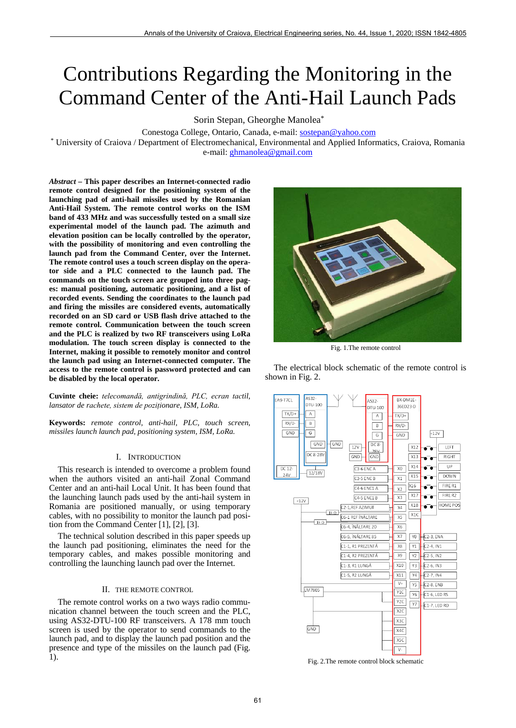# Contributions Regarding the Monitoring in the Command Center of the Anti-Hail Launch Pads

Sorin Stepan, Gheorghe Manolea\*

Conestoga College, Ontario, Canada, e-mail: **sostepan@yahoo.com**<br>\* University of Craiova / Department of Electromechanical, Environmental and Applied Informatics, Craiova, Romania e-mail: [ghmanolea@gmail.com](mailto:ghmanolea@gmail.com)

*Abstract –* **This paper describes an Internet-connected radio remote control designed for the positioning system of the launching pad of anti-hail missiles used by the Romanian Anti-Hail System. The remote control works on the ISM band of 433 MHz and was successfully tested on a small size experimental model of the launch pad. The azimuth and elevation position can be locally controlled by the operator, with the possibility of monitoring and even controlling the launch pad from the Command Center, over the Internet. The remote control uses a touch screen display on the operator side and a PLC connected to the launch pad. The commands on the touch screen are grouped into three pages: manual positioning, automatic positioning, and a list of recorded events. Sending the coordinates to the launch pad and firing the missiles are considered events, automatically recorded on an SD card or USB flash drive attached to the remote control. Communication between the touch screen and the PLC is realized by two RF transceivers using LoRa modulation. The touch screen display is connected to the Internet, making it possible to remotely monitor and control the launch pad using an Internet-connected computer. The access to the remote control is password protected and can be disabled by the local operator.** 

**Cuvinte cheie:** *telecomandă, antigrindină, PLC, ecran tactil, lansator de rachete, sistem de poziționare, ISM, LoRa.*

**Keywords:** *remote control, anti-hail, PLC, touch screen, missiles launch launch pad, positioning system, ISM, LoRa.* 

# I. INTRODUCTION

This research is intended to overcome a problem found when the authors visited an anti-hail Zonal Command Center and an anti-hail Local Unit. It has been found that the launching launch pads used by the anti-hail system in Romania are positioned manually, or using temporary cables, with no possibility to monitor the launch pad position from the Command Center [1], [2], [3].

The technical solution described in this paper speeds up the launch pad positioning, eliminates the need for the temporary cables, and makes possible monitoring and controlling the launching launch pad over the Internet.

#### II. THE REMOTE CONTROL

The remote control works on a two ways radio communication channel between the touch screen and the PLC, using AS32-DTU-100 RF transceivers. A 178 mm touch screen is used by the operator to send commands to the launch pad, and to display the launch pad position and the presence and type of the missiles on the launch pad (Fig. 1).



Fig. 1.The remote control

The electrical block schematic of the remote control is shown in Fig. 2.



Fig. 2.The remote control block schematic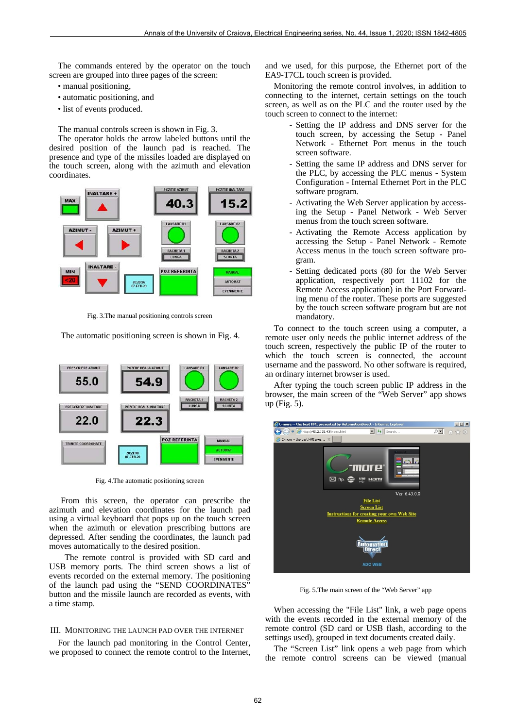The commands entered by the operator on the touch screen are grouped into three pages of the screen:

- manual positioning,
- automatic positioning, and
- list of events produced.

The manual controls screen is shown in Fig. 3.

The operator holds the arrow labeled buttons until the desired position of the launch pad is reached. The presence and type of the missiles loaded are displayed on the touch screen, along with the azimuth and elevation coordinates.



Fig. 3.The manual positioning controls screen

The automatic positioning screen is shown in Fig. 4.



Fig. 4.The automatic positioning screen

From this screen, the operator can prescribe the azimuth and elevation coordinates for the launch pad using a virtual keyboard that pops up on the touch screen when the azimuth or elevation prescribing buttons are depressed. After sending the coordinates, the launch pad moves automatically to the desired position.

The remote control is provided with SD card and USB memory ports. The third screen shows a list of events recorded on the external memory. The positioning of the launch pad using the "SEND COORDINATES" button and the missile launch are recorded as events, with a time stamp.

## III. MONITORING THE LAUNCH PAD OVER THE INTERNET

For the launch pad monitoring in the Control Center, we proposed to connect the remote control to the Internet, and we used, for this purpose, the Ethernet port of the EA9-T7CL touch screen is provided.

Monitoring the remote control involves, in addition to connecting to the internet, certain settings on the touch screen, as well as on the PLC and the router used by the touch screen to connect to the internet:

- Setting the IP address and DNS server for the touch screen, by accessing the Setup - Panel Network - Ethernet Port menus in the touch screen software.
- Setting the same IP address and DNS server for the PLC, by accessing the PLC menus - System Configuration - Internal Ethernet Port in the PLC software program.
- Activating the Web Server application by accessing the Setup - Panel Network - Web Server menus from the touch screen software.
- Activating the Remote Access application by accessing the Setup - Panel Network - Remote Access menus in the touch screen software program.
- Setting dedicated ports (80 for the Web Server application, respectively port 11102 for the Remote Access application) in the Port Forwarding menu of the router. These ports are suggested by the touch screen software program but are not mandatory.

To connect to the touch screen using a computer, a remote user only needs the public internet address of the touch screen, respectively the public IP of the router to which the touch screen is connected, the account username and the password. No other software is required, an ordinary internet browser is used.

After typing the touch screen public IP address in the browser, the main screen of the "Web Server" app shows up (Fig. 5).



Fig. 5.The main screen of the "Web Server" app

When accessing the "File List" link, a web page opens with the events recorded in the external memory of the remote control (SD card or USB flash, according to the settings used), grouped in text documents created daily.

The "Screen List" link opens a web page from which the remote control screens can be viewed (manual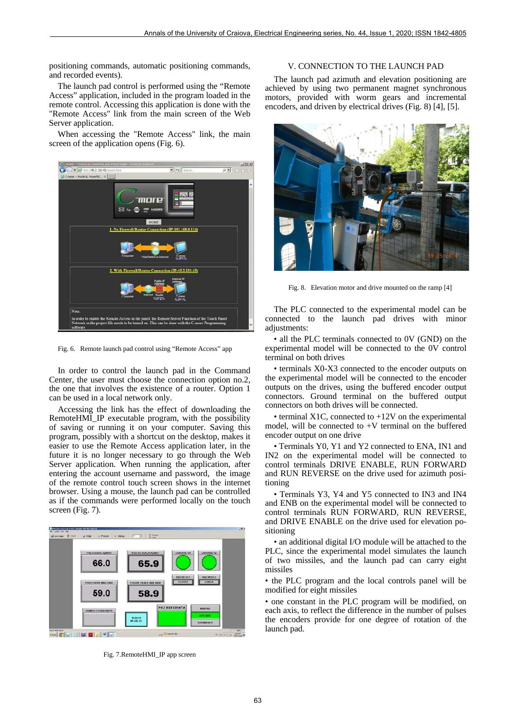positioning commands, automatic positioning commands, and recorded events).

The launch pad control is performed using the "Remote Access" application, included in the program loaded in the remote control. Accessing this application is done with the "Remote Access" link from the main screen of the Web Server application.

When accessing the "Remote Access" link, the main screen of the application opens (Fig. 6).



Fig. 6. Remote launch pad control using "Remote Access" app

In order to control the launch pad in the Command Center, the user must choose the connection option no.2, the one that involves the existence of a router. Option 1 can be used in a local network only.

Accessing the link has the effect of downloading the RemoteHMI\_IP executable program, with the possibility of saving or running it on your computer. Saving this program, possibly with a shortcut on the desktop, makes it easier to use the Remote Access application later, in the future it is no longer necessary to go through the Web Server application. When running the application, after entering the account username and password, the image of the remote control touch screen shows in the internet browser. Using a mouse, the launch pad can be controlled as if the commands were performed locally on the touch screen (Fig. 7).



Fig. 7.RemoteHMI\_IP app screen

## V. CONNECTION TO THE LAUNCH PAD

The launch pad azimuth and elevation positioning are achieved by using two permanent magnet synchronous motors, provided with worm gears and incremental encoders, and driven by electrical drives (Fig. 8) [4], [5].



Fig. 8. Elevation motor and drive mounted on the ramp [4]

The PLC connected to the experimental model can be connected to the launch pad drives with minor adjustments:

• all the PLC terminals connected to 0V (GND) on the experimental model will be connected to the 0V control terminal on both drives

• terminals X0-X3 connected to the encoder outputs on the experimental model will be connected to the encoder outputs on the drives, using the buffered encoder output connectors. Ground terminal on the buffered output connectors on both drives will be connected.

• terminal X1C, connected to +12V on the experimental model, will be connected to +V terminal on the buffered encoder output on one drive

• Terminals Y0, Y1 and Y2 connected to ENA, IN1 and IN2 on the experimental model will be connected to control terminals DRIVE ENABLE, RUN FORWARD and RUN REVERSE on the drive used for azimuth positioning

• Terminals Y3, Y4 and Y5 connected to IN3 and IN4 and ENB on the experimental model will be connected to control terminals RUN FORWARD, RUN REVERSE, and DRIVE ENABLE on the drive used for elevation positioning

• an additional digital I/O module will be attached to the PLC, since the experimental model simulates the launch of two missiles, and the launch pad can carry eight missiles

• the PLC program and the local controls panel will be modified for eight missiles

• one constant in the PLC program will be modified, on each axis, to reflect the difference in the number of pulses the encoders provide for one degree of rotation of the launch pad.